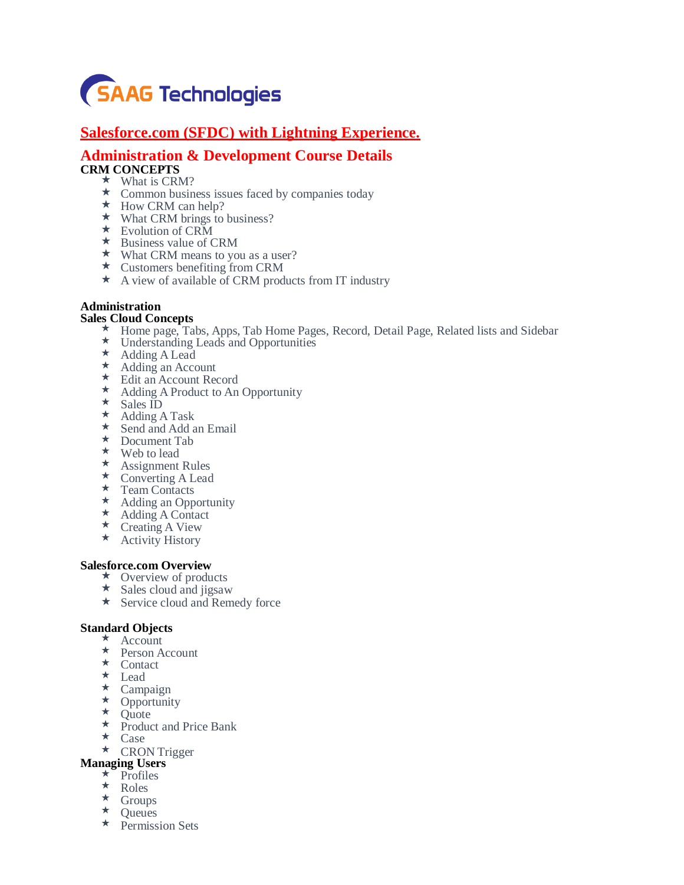

# **Salesforce.com (SFDC) with Lightning Experience.**

# **Administration & Development Course Details CRM CONCEPTS**

- $\star$  What is CRM?
- Common business issues faced by companies today
- ★ How CRM can help?
- $\star$  What CRM brings to business?
- ★ Evolution of CRM
- $\star$  Business value of CRM
- $\star$  What CRM means to you as a user?
- $\star$  Customers benefiting from CRM
- $\star$  A view of available of CRM products from IT industry

# **Administration**

# **Sales Cloud Concepts**

- \* Home page, Tabs, Apps, Tab Home Pages, Record, Detail Page, Related lists and Sidebar
- Understanding Leads and Opportunities
- Adding A Lead
- \* Adding an Account
- Edit an Account Record
- $\star$  Adding A Product to An Opportunity
- $\star$  Sales ID
- Adding A Task
- Send and Add an Email
- Document Tab
- Web to lead
- $\star$  Assignment Rules
- Converting A Lead
- \* Team Contacts
- \* Adding an Opportunity
- $\star$  Adding A Contact
- \* Creating A View
- \* Activity History

## **Salesforce.com Overview**

- $\star$  Overview of products
- $\star$  Sales cloud and jigsaw
- \* Service cloud and Remedy force

## **Standard Objects**

- $\star$  Account
- \* Person Account
- $\star$  Contact
- Lead
- Campaign
- $\star$  Opportunity
- $\star$  Quote
- $\star$  Product and Price Bank
- $\star$  Case
- **\*** CRON Trigger

# **Managing Users**

- $\star$  Profiles
- \* Roles
- Groups
- $\star$  Queues
- $\star$  Permission Sets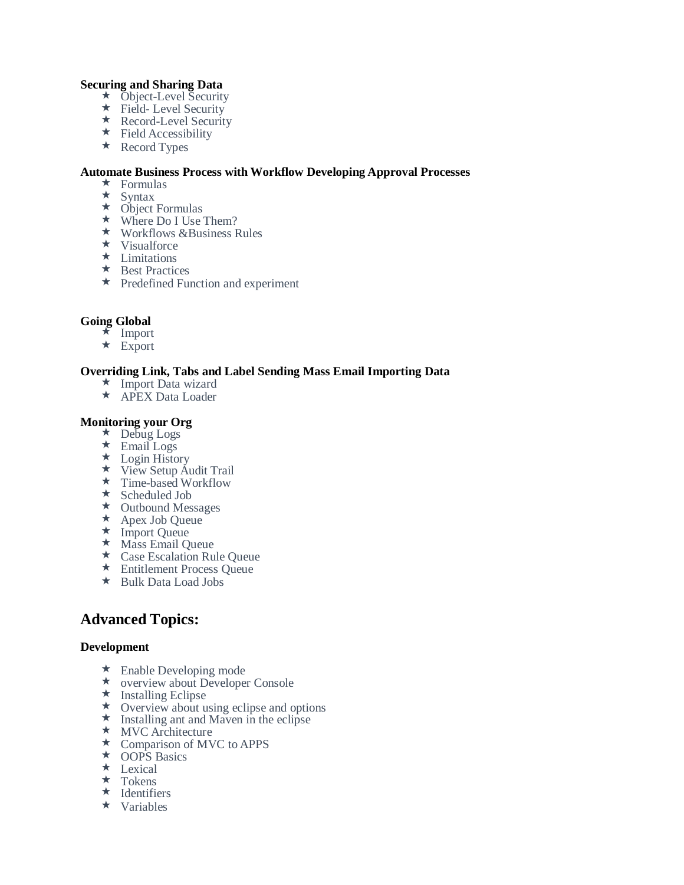# **Securing and Sharing Data**

- **★** Object-Level Security
- Field- Level Security
- ★ Record-Level Security
- $\star$  Field Accessibility
- ★ Record Types

# **Automate Business Process with Workflow Developing Approval Processes**

- $\star$  Formulas
- $\star$  Syntax
- $\star$  Object Formulas
- ★ Where Do I Use Them?
- $\star$  Workflows &Business Rules
- $\star$  Visualforce
- $\star$  Limitations
- $\star$  Best Practices
- $\star$  Predefined Function and experiment

# **Going Global**

- $\star$  Import
- $\star$  Export

# **Overriding Link, Tabs and Label Sending Mass Email Importing Data**

- Import Data wizard
- ★ APEX Data Loader

# **Monitoring your Org**

- ★ Debug Logs
- $\star$  Email Logs
- Login History
- ★ View Setup Audit Trail
- Time-based Workflow
- $\star$  Scheduled Job
- ★ Outbound Messages
- ★ Apex Job Queue
- $\star$  Import Queue
- $\star$  Mass Email Queue
- Case Escalation Rule Queue
- Entitlement Process Queue
- Bulk Data Load Jobs

# **Advanced Topics:**

## **Development**

- $\star$  Enable Developing mode
- overview about Developer Console
- $\star$  Installing Eclipse
- Overview about using eclipse and options
- $\star$  Installing ant and Maven in the eclipse
- **\*** MVC Architecture
- ★ Comparison of MVC to APPS
- ★ OOPS Basics
- **\*** Lexical
- $\star$  Tokens
- $\star$  Identifiers
- $\star$  Variables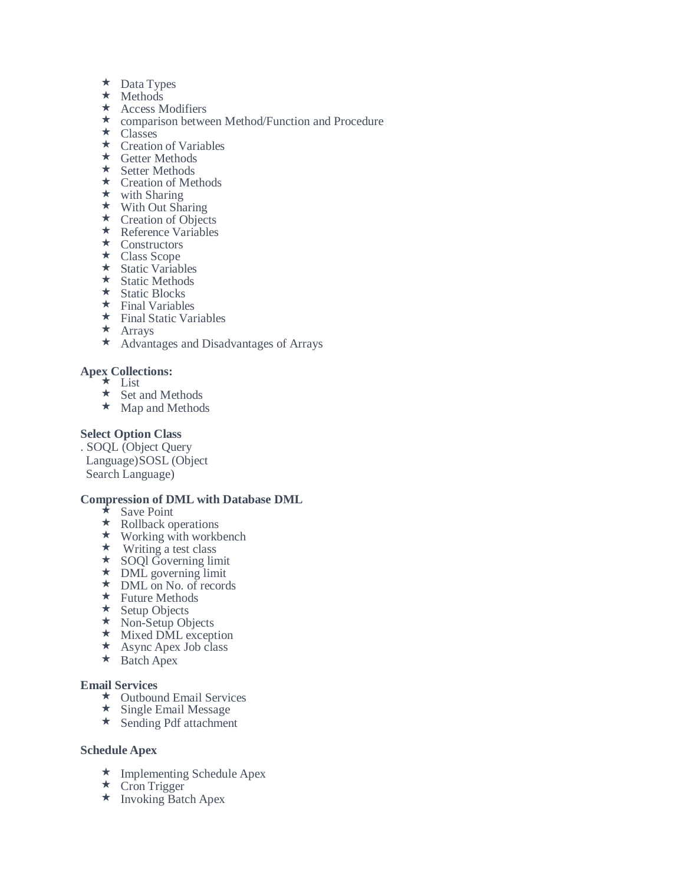- $\star$  Data Types
- $\star$  Methods
- \* Access Modifiers
- \* comparison between Method/Function and Procedure
- $\star$  Classes
- $\star$  Creation of Variables
- $\star$  Getter Methods
- \* Setter Methods
- $\star$  Creation of Methods
- $\star$  with Sharing
- $\star$  With Out Sharing
- \* Creation of Objects
- \* Reference Variables
- $\star$  Constructors
- Class Scope
- $\star$  Static Variables
- $\star$  Static Methods
- $\star$  Static Blocks
- $\star$  Final Variables
- $\star$  Final Static Variables
- $\star$  Arrays
- Advantages and Disadvantages of Arrays

# **Apex Collections:**

- $\star$  List
- $\star$  Set and Methods
- $\star$  Map and Methods

# **Select Option Class**

. SOQL (Object Query Language)SOSL (Object Search Language)

# **Compression of DML with Database DML**

- $\star$  Save Point
- \* Rollback operations
- $\star$  Working with workbench
- $\star$  Writing a test class
- **★** SOQI Governing limit
- $\star$  DML governing limit ★ DML on No. of records
- $\star$  Future Methods
- ★ Setup Objects
- $\star$  Non-Setup Objects
- \* Mixed DML exception
- $\star$  Async Apex Job class
- $\star$  Batch Apex

## **Email Services**

- Outbound Email Services
- $\star$  Single Email Message
- \* Sending Pdf attachment

# **Schedule Apex**

- ★ Implementing Schedule Apex
- $\star$  Cron Trigger
- $\star$  Invoking Batch Apex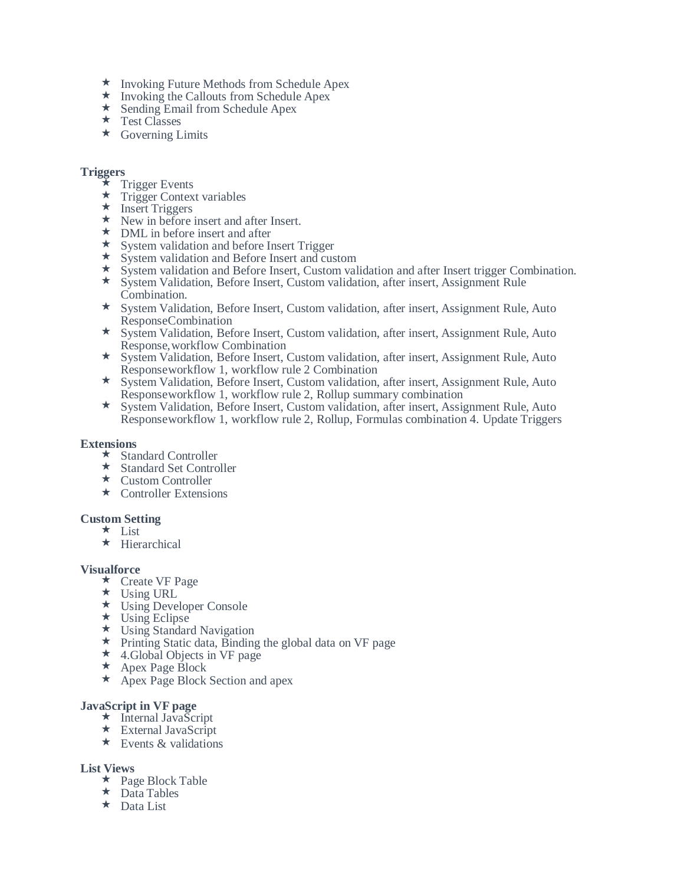- $\star$  Invoking Future Methods from Schedule Apex
- $\star$  Invoking the Callouts from Schedule Apex
- ★ Sending Email from Schedule Apex
- ★ Test Classes
- Governing Limits

# **Triggers**

- $\star$  Trigger Events
- $\star$  Trigger Context variables
- $\star$  Insert Triggers
- \* New in before insert and after Insert.
- $\star$  DML in before insert and after
- $\star$  System validation and before Insert Trigger
- \* System validation and Before Insert and custom
- \* System validation and Before Insert, Custom validation and after Insert trigger Combination.
- System Validation, Before Insert, Custom validation, after insert, Assignment Rule Combination.
- System Validation, Before Insert, Custom validation, after insert, Assignment Rule, Auto ResponseCombination
- System Validation, Before Insert, Custom validation, after insert, Assignment Rule, Auto Response,workflow Combination
- System Validation, Before Insert, Custom validation, after insert, Assignment Rule, Auto Responseworkflow 1, workflow rule 2 Combination
- System Validation, Before Insert, Custom validation, after insert, Assignment Rule, Auto Responseworkflow 1, workflow rule 2, Rollup summary combination
- System Validation, Before Insert, Custom validation, after insert, Assignment Rule, Auto Responseworkflow 1, workflow rule 2, Rollup, Formulas combination 4. Update Triggers

## **Extensions**

- ★ Standard Controller
- Standard Set Controller
- $\star$  Custom Controller
- $\star$  Controller Extensions

## **Custom Setting**

- $\star$  List
- $\star$  Hierarchical

## **Visualforce**

- $\star$  Create VF Page
- $\star$  Using URL
- ★ Using Developer Console
- Using Eclipse
- Using Standard Navigation
- Printing Static data, Binding the global data on VF page
- 4.Global Objects in VF page
- $\star$  Apex Page Block
- $\star$  Apex Page Block Section and apex

## **JavaScript in VF page**

- $\star$  Internal JavaScript
- External JavaScript
- $\star$  Events & validations

# **List Views**

- $\star$  Page Block Table
- $\star$  Data Tables
- $\star$  Data List